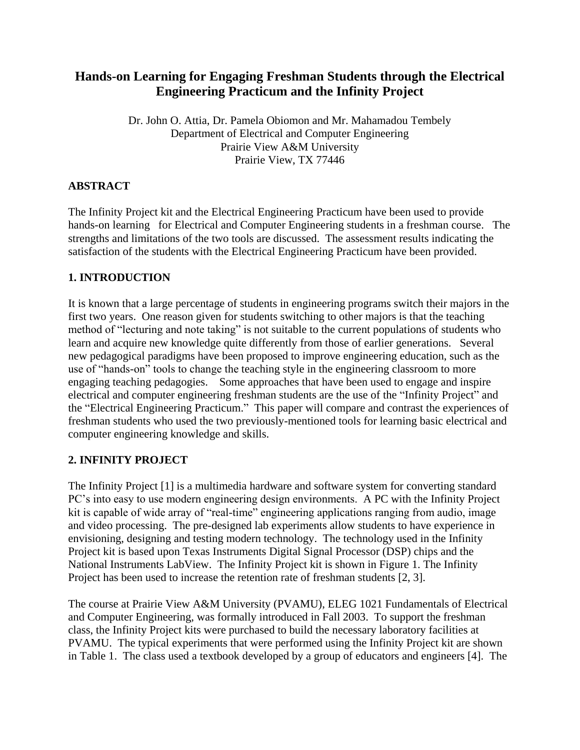# **Hands-on Learning for Engaging Freshman Students through the Electrical Engineering Practicum and the Infinity Project**

Dr. John O. Attia, Dr. Pamela Obiomon and Mr. Mahamadou Tembely Department of Electrical and Computer Engineering Prairie View A&M University Prairie View, TX 77446

# **ABSTRACT**

The Infinity Project kit and the Electrical Engineering Practicum have been used to provide hands-on learning for Electrical and Computer Engineering students in a freshman course. The strengths and limitations of the two tools are discussed. The assessment results indicating the satisfaction of the students with the Electrical Engineering Practicum have been provided.

# **1. INTRODUCTION**

It is known that a large percentage of students in engineering programs switch their majors in the first two years. One reason given for students switching to other majors is that the teaching method of "lecturing and note taking" is not suitable to the current populations of students who learn and acquire new knowledge quite differently from those of earlier generations. Several new pedagogical paradigms have been proposed to improve engineering education, such as the use of "hands-on" tools to change the teaching style in the engineering classroom to more engaging teaching pedagogies. Some approaches that have been used to engage and inspire electrical and computer engineering freshman students are the use of the "Infinity Project" and the "Electrical Engineering Practicum." This paper will compare and contrast the experiences of freshman students who used the two previously-mentioned tools for learning basic electrical and computer engineering knowledge and skills.

# **2. INFINITY PROJECT**

The Infinity Project [1] is a multimedia hardware and software system for converting standard PC's into easy to use modern engineering design environments. A PC with the Infinity Project kit is capable of wide array of "real-time" engineering applications ranging from audio, image and video processing. The pre-designed lab experiments allow students to have experience in envisioning, designing and testing modern technology. The technology used in the Infinity Project kit is based upon Texas Instruments Digital Signal Processor (DSP) chips and the National Instruments LabView. The Infinity Project kit is shown in Figure 1. The Infinity Project has been used to increase the retention rate of freshman students [2, 3].

The course at Prairie View A&M University (PVAMU), ELEG 1021 Fundamentals of Electrical and Computer Engineering, was formally introduced in Fall 2003. To support the freshman class, the Infinity Project kits were purchased to build the necessary laboratory facilities at PVAMU. The typical experiments that were performed using the Infinity Project kit are shown in Table 1. The class used a textbook developed by a group of educators and engineers [4]. The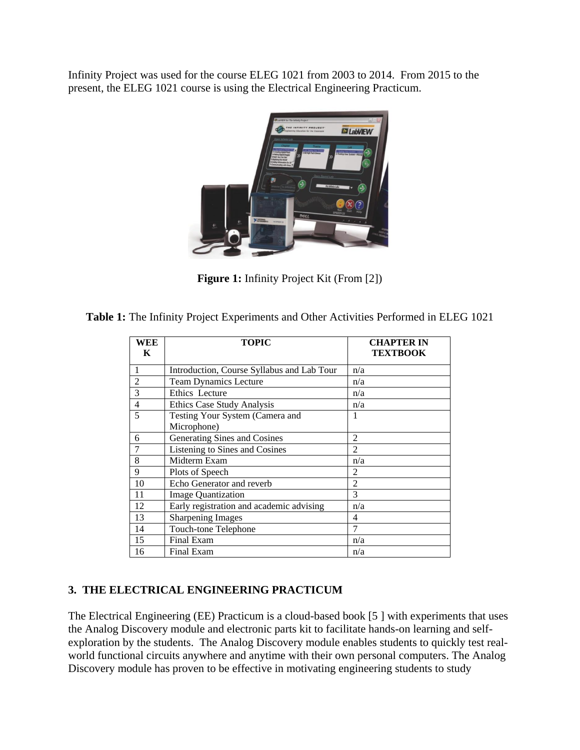Infinity Project was used for the course ELEG 1021 from 2003 to 2014. From 2015 to the present, the ELEG 1021 course is using the Electrical Engineering Practicum.



**Figure 1:** Infinity Project Kit (From [2])

**Table 1:** The Infinity Project Experiments and Other Activities Performed in ELEG 1021

| WEE<br>K       | <b>TOPIC</b>                               | <b>CHAPTER IN</b><br><b>TEXTBOOK</b> |
|----------------|--------------------------------------------|--------------------------------------|
| 1              | Introduction, Course Syllabus and Lab Tour | n/a                                  |
| $\overline{2}$ | <b>Team Dynamics Lecture</b>               | n/a                                  |
| 3              | Ethics Lecture                             | n/a                                  |
| 4              | Ethics Case Study Analysis                 | n/a                                  |
| 5              | Testing Your System (Camera and            | 1                                    |
|                | Microphone)                                |                                      |
| 6              | Generating Sines and Cosines               | $\overline{c}$                       |
| 7              | Listening to Sines and Cosines             | $\mathfrak{D}$                       |
| 8              | Midterm Exam                               | n/a                                  |
| 9              | Plots of Speech                            | $\overline{2}$                       |
| 10             | Echo Generator and reverb                  | $\overline{2}$                       |
| 11             | <b>Image Quantization</b>                  | 3                                    |
| 12             | Early registration and academic advising   | n/a                                  |
| 13             | <b>Sharpening Images</b>                   | 4                                    |
| 14             | Touch-tone Telephone                       | 7                                    |
| 15             | Final Exam                                 | n/a                                  |
| 16             | Final Exam                                 | n/a                                  |

## **3. THE ELECTRICAL ENGINEERING PRACTICUM**

The Electrical Engineering (EE) Practicum is a cloud-based book [5 ] with experiments that uses the Analog Discovery module and electronic parts kit to facilitate hands-on learning and selfexploration by the students. The Analog Discovery module enables students to quickly test realworld functional circuits anywhere and anytime with their own personal computers. The Analog Discovery module has proven to be effective in motivating engineering students to study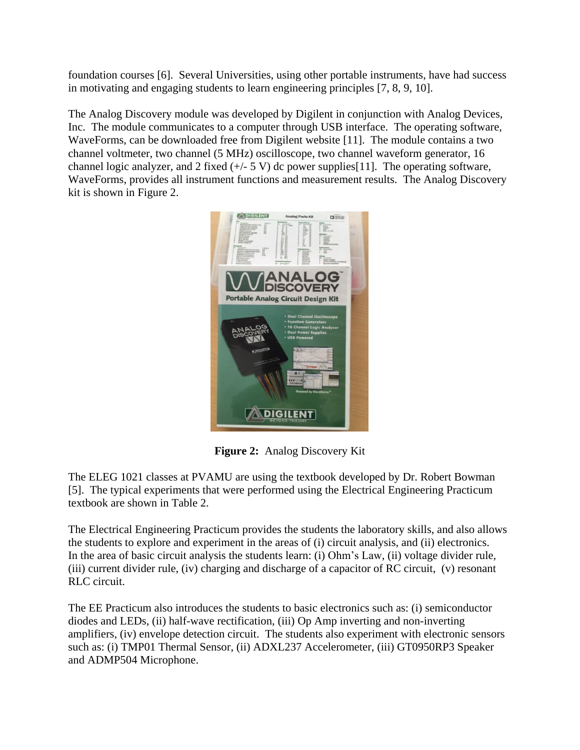foundation courses [6]. Several Universities, using other portable instruments, have had success in motivating and engaging students to learn engineering principles [7, 8, 9, 10].

The Analog Discovery module was developed by Digilent in conjunction with Analog Devices, Inc. The module communicates to a computer through USB interface. The operating software, WaveForms, can be downloaded free from Digilent website [11]. The module contains a two channel voltmeter, two channel (5 MHz) oscilloscope, two channel waveform generator, 16 channel logic analyzer, and 2 fixed  $(+/- 5 V)$  dc power supplies [11]. The operating software, WaveForms, provides all instrument functions and measurement results. The Analog Discovery kit is shown in Figure 2.



**Figure 2:** Analog Discovery Kit

The ELEG 1021 classes at PVAMU are using the textbook developed by Dr. Robert Bowman [5]. The typical experiments that were performed using the Electrical Engineering Practicum textbook are shown in Table 2.

The Electrical Engineering Practicum provides the students the laboratory skills, and also allows the students to explore and experiment in the areas of (i) circuit analysis, and (ii) electronics. In the area of basic circuit analysis the students learn: (i) Ohm's Law, (ii) voltage divider rule, (iii) current divider rule, (iv) charging and discharge of a capacitor of RC circuit, (v) resonant RLC circuit.

The EE Practicum also introduces the students to basic electronics such as: (i) semiconductor diodes and LEDs, (ii) half-wave rectification, (iii) Op Amp inverting and non-inverting amplifiers, (iv) envelope detection circuit. The students also experiment with electronic sensors such as: (i) TMP01 Thermal Sensor, (ii) ADXL237 Accelerometer, (iii) GT0950RP3 Speaker and ADMP504 Microphone.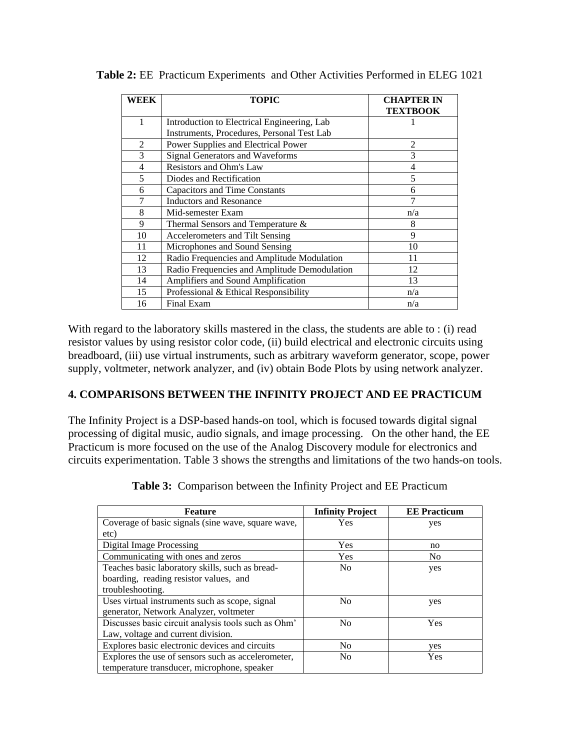| WEEK           | <b>TOPIC</b>                                 | <b>CHAPTER IN</b><br><b>TEXTBOOK</b> |
|----------------|----------------------------------------------|--------------------------------------|
| 1              | Introduction to Electrical Engineering, Lab  |                                      |
|                | Instruments, Procedures, Personal Test Lab   |                                      |
| $\overline{c}$ | Power Supplies and Electrical Power          | 2                                    |
| 3              | Signal Generators and Waveforms              | 3                                    |
| 4              | Resistors and Ohm's Law                      | 4                                    |
| 5              | Diodes and Rectification                     | 5                                    |
| 6              | <b>Capacitors and Time Constants</b>         | 6                                    |
| 7              | <b>Inductors and Resonance</b>               |                                      |
| 8              | Mid-semester Exam                            | n/a                                  |
| 9              | Thermal Sensors and Temperature &            | 8                                    |
| 10             | Accelerometers and Tilt Sensing              | 9                                    |
| 11             | Microphones and Sound Sensing                | 10                                   |
| 12             | Radio Frequencies and Amplitude Modulation   | 11                                   |
| 13             | Radio Frequencies and Amplitude Demodulation | 12                                   |
| 14             | Amplifiers and Sound Amplification           | 13                                   |
| 15             | Professional & Ethical Responsibility        | n/a                                  |
| 16             | Final Exam                                   | n/a                                  |

**Table 2:** EE Practicum Experiments and Other Activities Performed in ELEG 1021

With regard to the laboratory skills mastered in the class, the students are able to : (i) read resistor values by using resistor color code, (ii) build electrical and electronic circuits using breadboard, (iii) use virtual instruments, such as arbitrary waveform generator, scope, power supply, voltmeter, network analyzer, and (iv) obtain Bode Plots by using network analyzer.

#### **4. COMPARISONS BETWEEN THE INFINITY PROJECT AND EE PRACTICUM**

The Infinity Project is a DSP-based hands-on tool, which is focused towards digital signal processing of digital music, audio signals, and image processing. On the other hand, the EE Practicum is more focused on the use of the Analog Discovery module for electronics and circuits experimentation. Table 3 shows the strengths and limitations of the two hands-on tools.

| <b>Feature</b>                                      | <b>Infinity Project</b> | <b>EE</b> Practicum |
|-----------------------------------------------------|-------------------------|---------------------|
| Coverage of basic signals (sine wave, square wave,  | <b>Yes</b>              | yes                 |
| etc)                                                |                         |                     |
| Digital Image Processing                            | <b>Yes</b>              | no                  |
| Communicating with ones and zeros                   | Yes                     | N <sub>0</sub>      |
| Teaches basic laboratory skills, such as bread-     | N <sub>0</sub>          | yes                 |
| boarding, reading resistor values, and              |                         |                     |
| troubleshooting.                                    |                         |                     |
| Uses virtual instruments such as scope, signal      | N <sub>0</sub>          | yes                 |
| generator, Network Analyzer, voltmeter              |                         |                     |
| Discusses basic circuit analysis tools such as Ohm' | N <sub>0</sub>          | <b>Yes</b>          |
| Law, voltage and current division.                  |                         |                     |
| Explores basic electronic devices and circuits      | N <sub>0</sub>          | yes                 |
| Explores the use of sensors such as accelerometer,  | N <sub>0</sub>          | Yes                 |
| temperature transducer, microphone, speaker         |                         |                     |

**Table 3:** Comparison between the Infinity Project and EE Practicum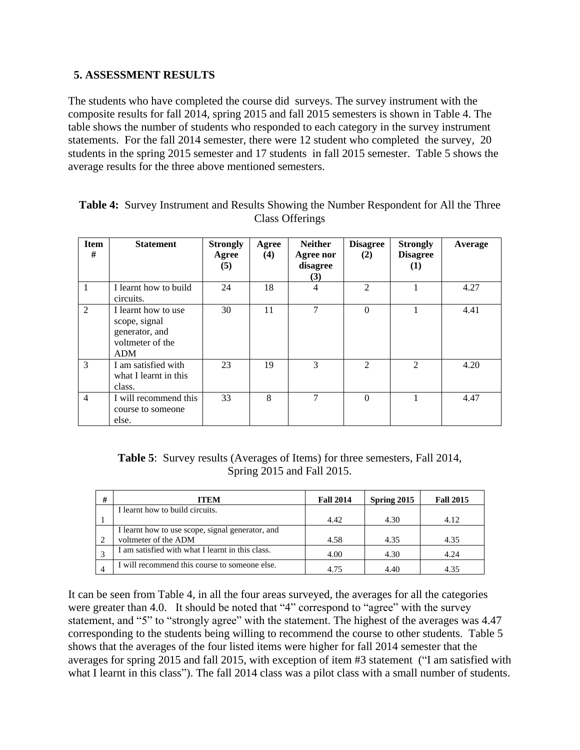#### **5. ASSESSMENT RESULTS**

The students who have completed the course did surveys. The survey instrument with the composite results for fall 2014, spring 2015 and fall 2015 semesters is shown in Table 4. The table shows the number of students who responded to each category in the survey instrument statements. For the fall 2014 semester, there were 12 student who completed the survey, 20 students in the spring 2015 semester and 17 students in fall 2015 semester. Table 5 shows the average results for the three above mentioned semesters.

| <b>Item</b><br># | <b>Statement</b>                                                                         | <b>Strongly</b><br>Agree<br>(5) | Agree<br>(4) | <b>Neither</b><br>Agree nor<br>disagree<br>(3) | <b>Disagree</b><br>(2)      | <b>Strongly</b><br><b>Disagree</b><br>$\bf(1)$ | Average |
|------------------|------------------------------------------------------------------------------------------|---------------------------------|--------------|------------------------------------------------|-----------------------------|------------------------------------------------|---------|
| 1                | I learnt how to build<br>circuits.                                                       | 24                              | 18           | $\overline{4}$                                 | $\mathfrak{D}$              |                                                | 4.27    |
| 2                | I learnt how to use<br>scope, signal<br>generator, and<br>voltmeter of the<br><b>ADM</b> | 30                              | 11           | 7                                              | $\Omega$                    |                                                | 4.41    |
| 3                | I am satisfied with<br>what I learnt in this<br>class.                                   | 23                              | 19           | 3                                              | $\mathcal{D}_{\mathcal{L}}$ | $\mathfrak{D}$                                 | 4.20    |
| $\overline{4}$   | I will recommend this<br>course to someone<br>else.                                      | 33                              | 8            | 7                                              | $\Omega$                    |                                                | 4.47    |

| <b>Table 4:</b> Survey Instrument and Results Showing the Number Respondent for All the Three |  |
|-----------------------------------------------------------------------------------------------|--|
| Class Offerings                                                                               |  |

**Table 5**: Survey results (Averages of Items) for three semesters, Fall 2014, Spring 2015 and Fall 2015.

| # | <b>ITEM</b>                                                              | <b>Fall 2014</b> | Spring 2015 | <b>Fall 2015</b> |
|---|--------------------------------------------------------------------------|------------------|-------------|------------------|
|   | I learnt how to build circuits.                                          |                  |             |                  |
|   |                                                                          | 4.42             | 4.30        | 4.12             |
|   | I learnt how to use scope, signal generator, and<br>voltmeter of the ADM | 4.58             | 4.35        | 4.35             |
|   | I am satisfied with what I learnt in this class.                         | 4.00             | 4.30        | 4.24             |
|   | I will recommend this course to someone else.                            | 4.75             | 4.40        | 4.35             |

It can be seen from Table 4, in all the four areas surveyed, the averages for all the categories were greater than 4.0. It should be noted that "4" correspond to "agree" with the survey statement, and "5" to "strongly agree" with the statement. The highest of the averages was 4.47 corresponding to the students being willing to recommend the course to other students. Table 5 shows that the averages of the four listed items were higher for fall 2014 semester that the averages for spring 2015 and fall 2015, with exception of item #3 statement ("I am satisfied with what I learnt in this class"). The fall 2014 class was a pilot class with a small number of students.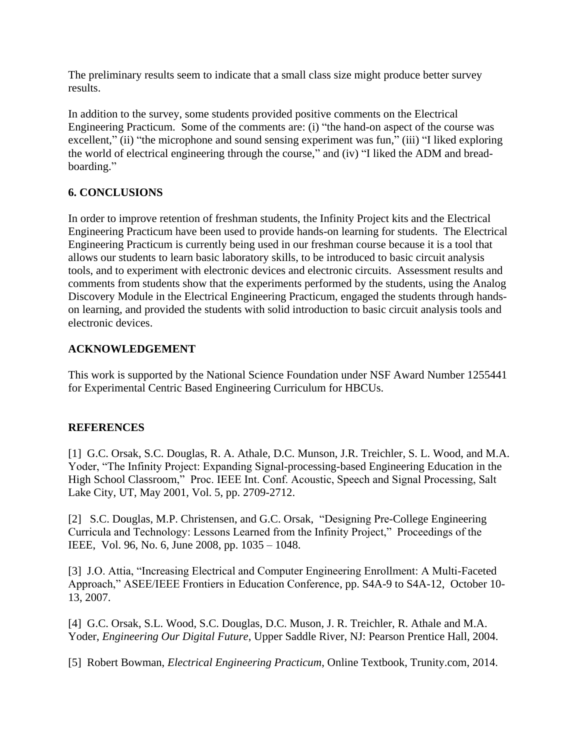The preliminary results seem to indicate that a small class size might produce better survey results.

In addition to the survey, some students provided positive comments on the Electrical Engineering Practicum. Some of the comments are: (i) "the hand-on aspect of the course was excellent," (ii) "the microphone and sound sensing experiment was fun," (iii) "I liked exploring the world of electrical engineering through the course," and (iv) "I liked the ADM and breadboarding."

## **6. CONCLUSIONS**

In order to improve retention of freshman students, the Infinity Project kits and the Electrical Engineering Practicum have been used to provide hands-on learning for students. The Electrical Engineering Practicum is currently being used in our freshman course because it is a tool that allows our students to learn basic laboratory skills, to be introduced to basic circuit analysis tools, and to experiment with electronic devices and electronic circuits. Assessment results and comments from students show that the experiments performed by the students, using the Analog Discovery Module in the Electrical Engineering Practicum, engaged the students through handson learning, and provided the students with solid introduction to basic circuit analysis tools and electronic devices.

## **ACKNOWLEDGEMENT**

This work is supported by the National Science Foundation under NSF Award Number 1255441 for Experimental Centric Based Engineering Curriculum for HBCUs.

## **REFERENCES**

[1] G.C. Orsak, S.C. Douglas, R. A. Athale, D.C. Munson, J.R. Treichler, S. L. Wood, and M.A. Yoder, "The Infinity Project: Expanding Signal-processing-based Engineering Education in the High School Classroom," Proc. IEEE Int. Conf. Acoustic, Speech and Signal Processing, Salt Lake City, UT, May 2001, Vol. 5, pp. 2709-2712.

[2] S.C. Douglas, M.P. Christensen, and G.C. Orsak, "Designing Pre-College Engineering Curricula and Technology: Lessons Learned from the Infinity Project," Proceedings of the IEEE, Vol. 96, No. 6, June 2008, pp. 1035 – 1048.

[3] J.O. Attia, "Increasing Electrical and Computer Engineering Enrollment: A Multi-Faceted Approach," ASEE/IEEE Frontiers in Education Conference, pp. S4A-9 to S4A-12, October 10- 13, 2007.

[4] G.C. Orsak, S.L. Wood, S.C. Douglas, D.C. Muson, J. R. Treichler, R. Athale and M.A. Yoder, *Engineering Our Digital Future*, Upper Saddle River, NJ: Pearson Prentice Hall, 2004.

[5] Robert Bowman, *Electrical Engineering Practicum*, Online Textbook, Trunity.com, 2014.